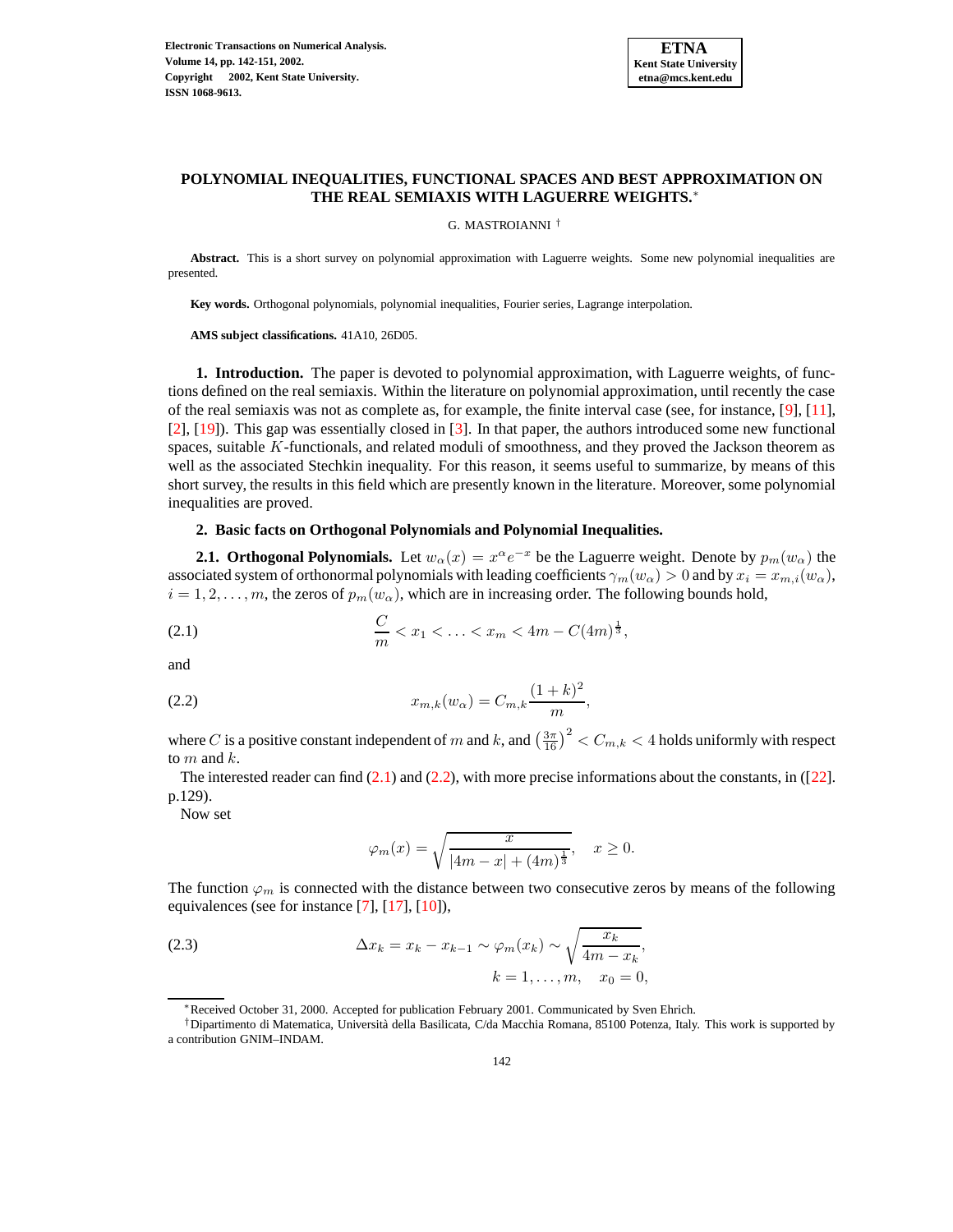

## **POLYNOMIAL INEQUALITIES, FUNCTIONAL SPACES AND BEST APPROXIMATION ON THE REAL SEMIAXIS WITH LAGUERRE WEIGHTS.**∗

G. MASTROIANNI †

**Abstract.** This is a short survey on polynomial approximation with Laguerre weights. Some new polynomial inequalities are presented.

**Key words.** Orthogonal polynomials, polynomial inequalities, Fourier series, Lagrange interpolation.

**AMS subject classifications.** 41A10, 26D05.

**1. Introduction.** The paper is devoted to polynomial approximation, with Laguerre weights, of functions defined on the real semiaxis. Within the literature on polynomial approximation, until recently the case of the real semiaxis was not as complete as, for example, the finite interval case (see, for instance, [\[9\]](#page-9-0), [\[11\]](#page-9-1), [\[2\]](#page-8-0), [\[19\]](#page-9-2)). This gap was essentially closed in [\[3\]](#page-8-1). In that paper, the authors introduced some new functional spaces, suitable K-functionals, and related moduli of smoothness, and they proved the Jackson theorem as well as the associated Stechkin inequality. For this reason, it seems useful to summarize, by means of this short survey, the results in this field which are presently known in the literature. Moreover, some polynomial inequalities are proved.

## **2. Basic facts on Orthogonal Polynomials and Polynomial Inequalities.**

**2.1.** Orthogonal Polynomials. Let  $w_\alpha(x) = x^\alpha e^{-x}$  be the Laguerre weight. Denote by  $p_m(w_\alpha)$  the associated system of orthonormal polynomials with leading coefficients  $\gamma_m(w_\alpha) > 0$  and by  $x_i = x_{m,i}(w_\alpha)$ ,  $i = 1, 2, \ldots, m$ , the zeros of  $p_m(w_\alpha)$ , which are in increasing order. The following bounds hold,

<span id="page-0-0"></span>(2.1) 
$$
\frac{C}{m} < x_1 < \ldots < x_m < 4m - C(4m)^{\frac{1}{3}},
$$

<span id="page-0-1"></span>and

(2.2) 
$$
x_{m,k}(w_{\alpha}) = C_{m,k} \frac{(1+k)^2}{m},
$$

where  $C$  is a positive constant independent of  $m$  and  $k$ , and  $\left(\frac{3\pi}{16}\right)^2 < C_{m,k} < 4$  holds uniformly with respect to  $m$  and  $k$ .

The interested reader can find [\(2.1\)](#page-0-0) and [\(2.2\)](#page-0-1), with more precise informations about the constants, in ([\[22\]](#page-9-3). p.129).

Now set

$$
\varphi_m(x) = \sqrt{\frac{x}{|4m - x| + (4m)^{\frac{1}{3}}}}, \quad x \ge 0.
$$

The function  $\varphi_m$  is connected with the distance between two consecutive zeros by means of the following equivalences (see for instance [\[7\]](#page-9-4), [\[17\]](#page-9-5), [\[10\]](#page-9-6)),

(2.3) 
$$
\Delta x_k = x_k - x_{k-1} \sim \varphi_m(x_k) \sim \sqrt{\frac{x_k}{4m - x_k}},
$$

$$
k = 1, \dots, m, \quad x_0 = 0,
$$

<sup>∗</sup>Received October 31, 2000. Accepted for publication February 2001. Communicated by Sven Ehrich.

<sup>†</sup>Dipartimento di Matematica, Universita` della Basilicata, C/da Macchia Romana, 85100 Potenza, Italy. This work is supported by a contribution GNIM–INDAM.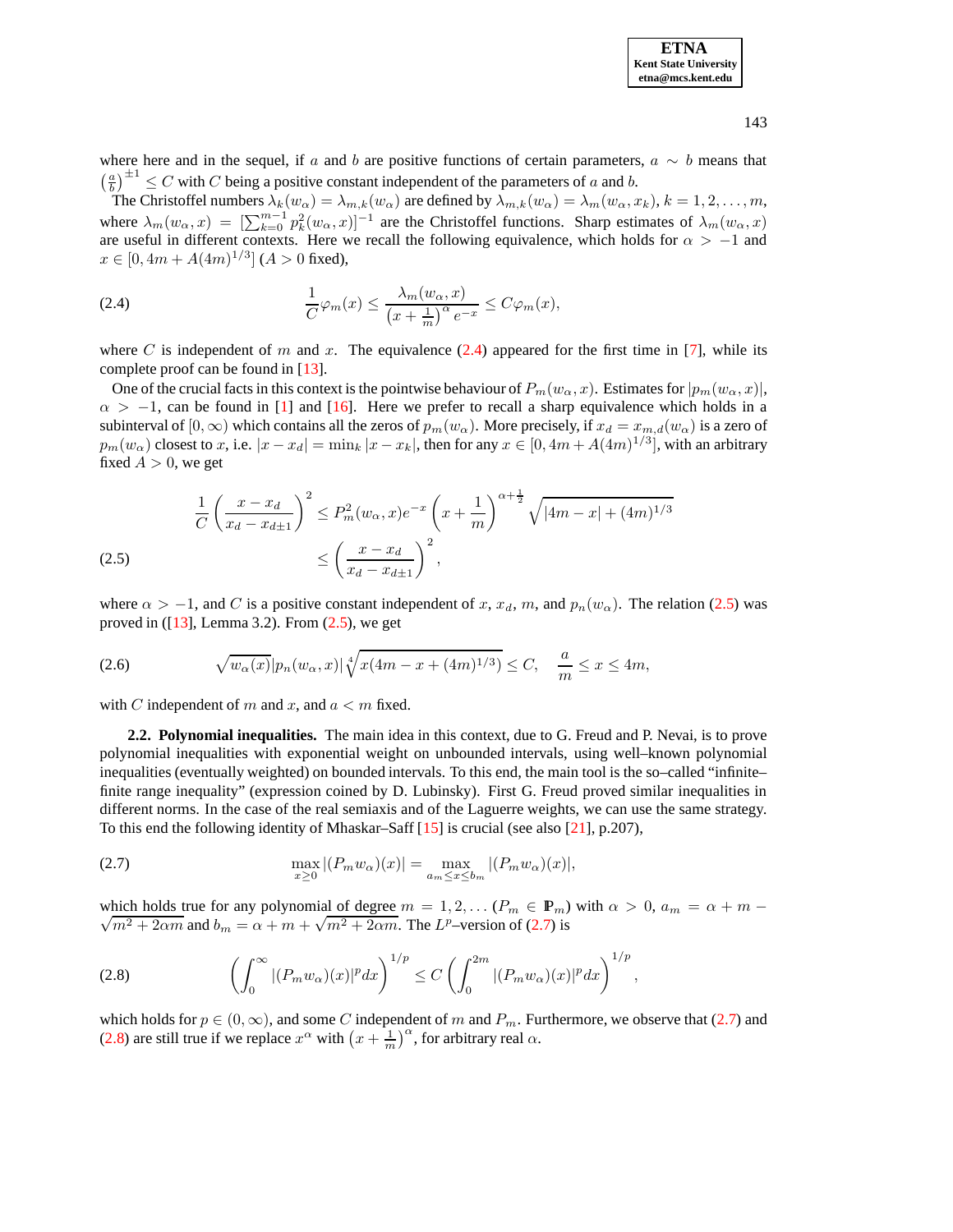**ETNA Kent State University etna@mcs.kent.edu**

where here and in the sequel, if a and b are positive functions of certain parameters,  $a \sim b$  means that  $\left(\frac{a}{b}\right)^{\pm 1} \leq C$  with C being a positive constant independent of the parameters of a and b.

The Christoffel numbers  $\lambda_k(w_\alpha) = \lambda_{m,k}(w_\alpha)$  are defined by  $\lambda_{m,k}(w_\alpha) = \lambda_m(w_\alpha, x_k)$ ,  $k = 1, 2, ..., m$ , where  $\lambda_m(w_\alpha, x) = [\sum_{k=0}^{m-1} p_k^2(w_\alpha, x)]^{-1}$  are the Christoffel functions. Sharp estimates of  $\lambda_m(w_\alpha, x)$ are useful in different contexts. Here we recall the following equivalence, which holds for  $\alpha > -1$  and  $x \in [0, 4m + A(4m)^{1/3}]$  ( $A > 0$  fixed),

<span id="page-1-0"></span>(2.4) 
$$
\frac{1}{C}\varphi_m(x) \leq \frac{\lambda_m(w_\alpha, x)}{(x + \frac{1}{m})^\alpha e^{-x}} \leq C\varphi_m(x),
$$

where C is independent of m and x. The equivalence  $(2.4)$  appeared for the first time in [\[7\]](#page-9-4), while its complete proof can be found in [\[13\]](#page-9-7).

One of the crucial facts in this context is the pointwise behaviour of  $P_m(w_\alpha, x)$ . Estimates for  $|p_m(w_\alpha, x)|$ ,  $\alpha$  > -1, can be found in [\[1\]](#page-8-2) and [\[16\]](#page-9-8). Here we prefer to recall a sharp equivalence which holds in a subinterval of  $[0, \infty)$  which contains all the zeros of  $p_m(w_\alpha)$ . More precisely, if  $x_d = x_{m,d}(w_\alpha)$  is a zero of  $p_m(w_\alpha)$  closest to x, i.e.  $|x-x_d| = \min_k |x-x_k|$ , then for any  $x \in [0, 4m + A(4m)^{1/3}]$ , with an arbitrary fixed  $A > 0$ , we get

<span id="page-1-1"></span>(2.5) 
$$
\frac{1}{C} \left( \frac{x - x_d}{x_d - x_{d\pm 1}} \right)^2 \le P_m^2(w_\alpha, x) e^{-x} \left( x + \frac{1}{m} \right)^{\alpha + \frac{1}{2}} \sqrt{|4m - x| + (4m)^{1/3}}
$$

$$
\le \left( \frac{x - x_d}{x_d - x_{d\pm 1}} \right)^2,
$$

where  $\alpha > -1$ , and C is a positive constant independent of x, x<sub>d</sub>, m, and  $p_n(w_\alpha)$ . The relation [\(2.5\)](#page-1-1) was proved in  $(13]$ , Lemma 3.2). From  $(2.5)$ , we get

<span id="page-1-4"></span>(2.6) 
$$
\sqrt{w_{\alpha}(x)}|p_n(w_{\alpha},x)|\sqrt[4]{x(4m-x+(4m)^{1/3})} \leq C, \quad \frac{a}{m} \leq x \leq 4m,
$$

with C independent of m and x, and  $a < m$  fixed.

**2.2. Polynomial inequalities.** The main idea in this context, due to G. Freud and P. Nevai, is to prove polynomial inequalities with exponential weight on unbounded intervals, using well–known polynomial inequalities (eventually weighted) on bounded intervals. To this end, the main tool is the so–called "infinite– finite range inequality" (expression coined by D. Lubinsky). First G. Freud proved similar inequalities in different norms. In the case of the real semiaxis and of the Laguerre weights, we can use the same strategy. To this end the following identity of Mhaskar–Saff [\[15\]](#page-9-9) is crucial (see also [\[21\]](#page-9-10), p.207),

<span id="page-1-2"></span>(2.7) 
$$
\max_{x \ge 0} |(P_m w_\alpha)(x)| = \max_{a_m \le x \le b_m} |(P_m w_\alpha)(x)|,
$$

 $\sqrt{m^2 + 2\alpha m}$  and  $b_m = \alpha + m + \sqrt{m^2 + 2\alpha m}$ . The  $L^p$ -version of [\(2.7\)](#page-1-2) is which holds true for any polynomial of degree  $m = 1, 2, \ldots (P_m \in \mathbb{P}_m)$  with  $\alpha > 0$ ,  $a_m = \alpha + m$ 

<span id="page-1-3"></span>(2.8) 
$$
\left(\int_0^{\infty} |(P_m w_\alpha)(x)|^p dx\right)^{1/p} \leq C \left(\int_0^{2m} |(P_m w_\alpha)(x)|^p dx\right)^{1/p},
$$

which holds for  $p \in (0, \infty)$ , and some C independent of m and  $P_m$ . Furthermore, we observe that [\(2.7\)](#page-1-2) and [\(2.8\)](#page-1-3) are still true if we replace  $x^{\alpha}$  with  $\left(x + \frac{1}{m}\right)^{\alpha}$ , for arbitrary real  $\alpha$ .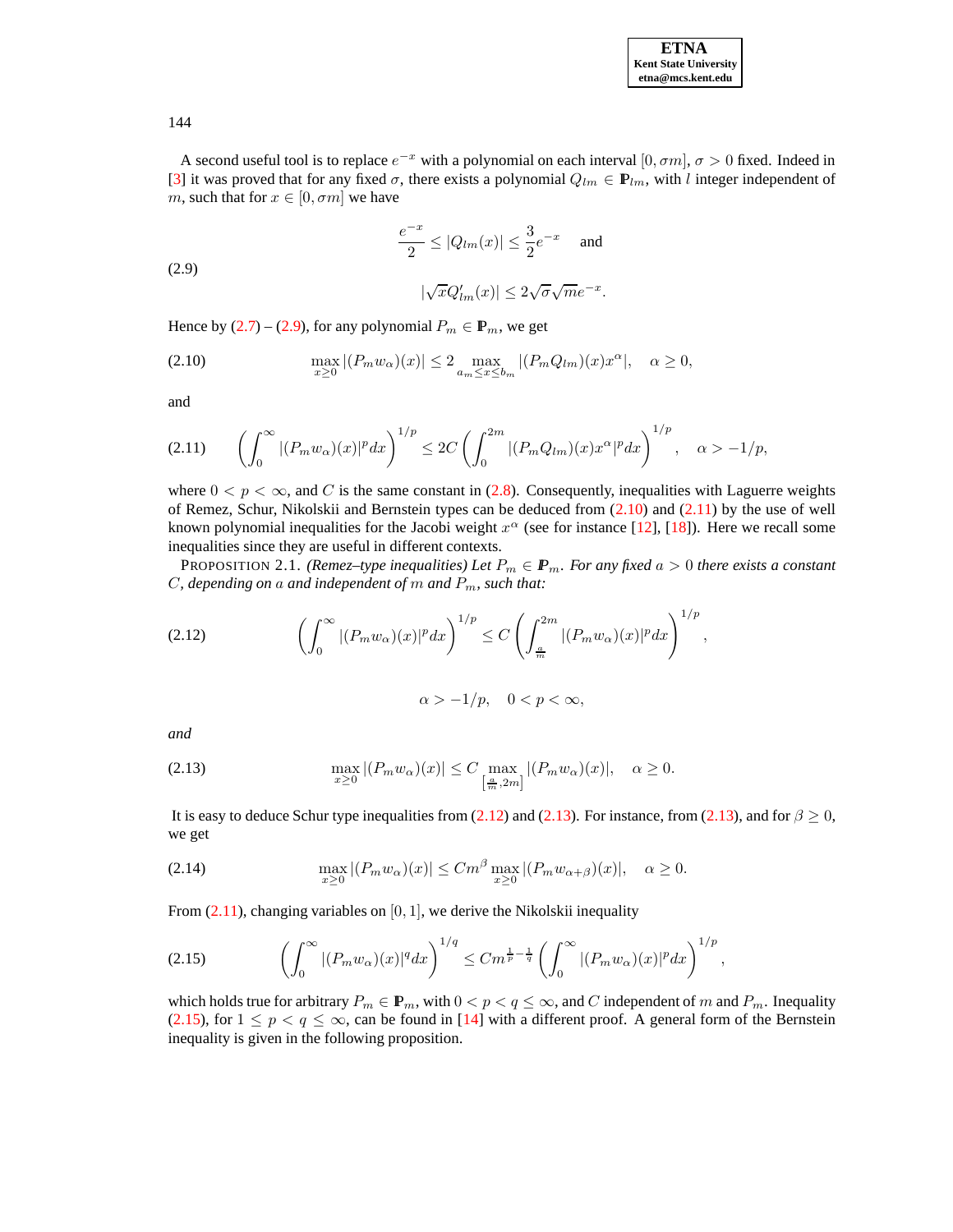

144

A second useful tool is to replace  $e^{-x}$  with a polynomial on each interval  $[0, \sigma m]$ ,  $\sigma > 0$  fixed. Indeed in [\[3\]](#page-8-1) it was proved that for any fixed  $\sigma$ , there exists a polynomial  $Q_{lm} \in \mathbf{P}_{lm}$ , with l integer independent of m, such that for  $x \in [0, \sigma m]$  we have

<span id="page-2-0"></span>
$$
\frac{e^{-x}}{2}\leq |Q_{lm}(x)|\leq \frac{3}{2}e^{-x}\quad \text{ and }\quad
$$

(2.9)

$$
|\sqrt{x}Q'_{lm}(x)| \le 2\sqrt{\sigma}\sqrt{m}e^{-x}.
$$

<span id="page-2-1"></span>Hence by  $(2.7)$  –  $(2.9)$ , for any polynomial  $P_m \in \mathbb{P}_m$ , we get

$$
\max_{x\geq 0} |(P_m w_\alpha)(x)| \leq 2 \max_{a_m \leq x \leq b_m} |(P_m Q_{lm})(x)x^\alpha|, \quad \alpha \geq 0,
$$

and

<span id="page-2-2"></span>
$$
(2.11) \qquad \left(\int_0^\infty |(P_m w_\alpha)(x)|^p dx\right)^{1/p} \le 2C \left(\int_0^{2m} |(P_m Q_{lm})(x)x^\alpha|^p dx\right)^{1/p}, \quad \alpha > -1/p,
$$

where  $0 < p < \infty$ , and C is the same constant in [\(2.8\)](#page-1-3). Consequently, inequalities with Laguerre weights of Remez, Schur, Nikolskii and Bernstein types can be deduced from [\(2.10\)](#page-2-1) and [\(2.11\)](#page-2-2) by the use of well known polynomial inequalities for the Jacobi weight  $x^{\alpha}$  (see for instance [\[12\]](#page-9-11), [\[18\]](#page-9-12)). Here we recall some inequalities since they are useful in different contexts.

**PROPOSITION 2.1.** *(Remez–type inequalities)* Let  $P_m \in \mathbf{P}_m$ *. For any fixed*  $a > 0$  *there exists a constant*  $C$ *, depending on a and independent of*  $m$  *and*  $P_m$ *, such that:* 

<span id="page-2-3"></span>
$$
(2.12)\qquad \qquad \left(\int_0^\infty |(P_m w_\alpha)(x)|^p dx\right)^{1/p} \le C\left(\int_{\frac{a}{m}}^{2m} |(P_m w_\alpha)(x)|^p dx\right)^{1/p},
$$

$$
\alpha > -1/p, \quad 0 < p < \infty,
$$

<span id="page-2-4"></span>*and*

(2.13) 
$$
\max_{x\geq 0} |(P_m w_\alpha)(x)| \leq C \max_{\left[\frac{a}{m}, 2m\right]} |(P_m w_\alpha)(x)|, \quad \alpha \geq 0.
$$

It is easy to deduce Schur type inequalities from [\(2.12\)](#page-2-3) and [\(2.13\)](#page-2-4). For instance, from (2.13), and for  $\beta \ge 0$ , we get

(2.14) 
$$
\max_{x\geq 0} |(P_m w_\alpha)(x)| \leq C m^{\beta} \max_{x\geq 0} |(P_m w_{\alpha+\beta})(x)|, \quad \alpha \geq 0.
$$

From  $(2.11)$ , changing variables on  $[0, 1]$ , we derive the Nikolskii inequality

<span id="page-2-5"></span>
$$
(2.15) \qquad \left(\int_0^\infty |(P_m w_\alpha)(x)|^q dx\right)^{1/q} \leq C m^{\frac{1}{p} - \frac{1}{q}} \left(\int_0^\infty |(P_m w_\alpha)(x)|^p dx\right)^{1/p},
$$

which holds true for arbitrary  $P_m \in \mathbb{P}_m$ , with  $0 < p < q \le \infty$ , and C independent of m and  $P_m$ . Inequality [\(2.15\)](#page-2-5), for  $1 \leq p < q \leq \infty$ , can be found in [\[14\]](#page-9-13) with a different proof. A general form of the Bernstein inequality is given in the following proposition.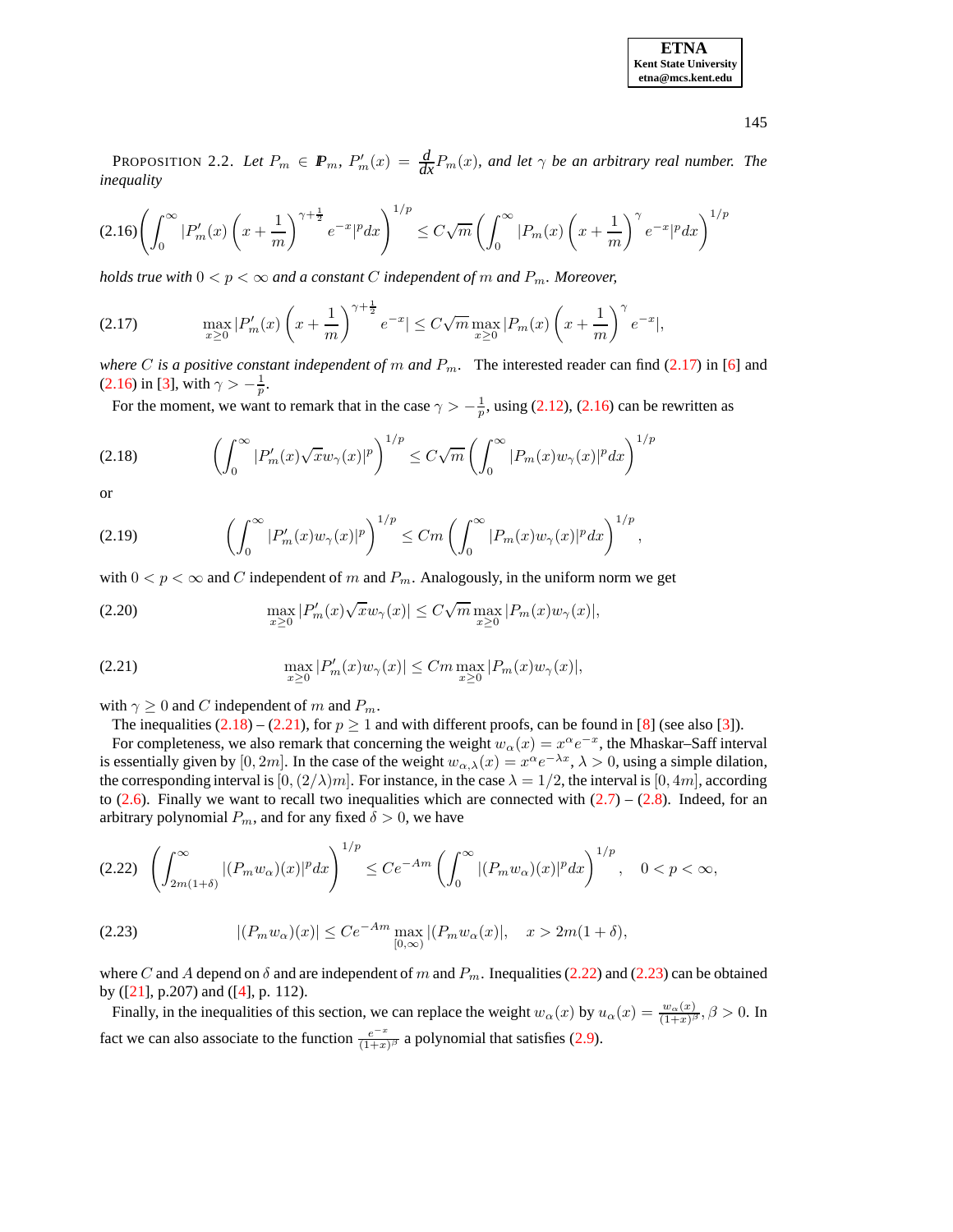| <b>ETNA</b>                  |
|------------------------------|
| <b>Kent State University</b> |
| etna@mcs.kent.edu            |

145

PROPOSITION 2.2. Let  $P_m \in \mathbf{P}_m$ ,  $P'_m(x) = \frac{d}{dx}P_m(x)$ , and let  $\gamma$  be an arbitrary real number. The *inequality*

<span id="page-3-1"></span>
$$
(2.16)\left(\int_0^\infty |P'_m(x)\left(x+\frac{1}{m}\right)^{\gamma+\frac{1}{2}}e^{-x}|^pdx\right)^{1/p} \le C\sqrt{m}\left(\int_0^\infty |P_m(x)\left(x+\frac{1}{m}\right)^\gamma e^{-x}|^pdx\right)^{1/p}
$$

*holds true with*  $0 < p < \infty$  *and a constant C independent of m and*  $P_m$ *. Moreover,* 

<span id="page-3-0"></span>
$$
(2.17) \qquad \max_{x\geq 0} |P'_m(x)\left(x+\frac{1}{m}\right)^{\gamma+\frac{1}{2}}e^{-x}| \leq C\sqrt{m}\max_{x\geq 0} |P_m(x)\left(x+\frac{1}{m}\right)^{\gamma}e^{-x}|,
$$

*where C* is a positive constant independent of m and  $P_m$ . The interested reader can find [\(2.17\)](#page-3-0) in [\[6\]](#page-9-14) and [\(2.16\)](#page-3-1) in [\[3\]](#page-8-1), with  $\gamma > -\frac{1}{p}$ .

For the moment, we want to remark that in the case  $\gamma > -\frac{1}{p}$ , using [\(2.12\)](#page-2-3), [\(2.16\)](#page-3-1) can be rewritten as

<span id="page-3-2"></span>
$$
(2.18)\qquad \qquad \left(\int_0^\infty |P'_m(x)\sqrt{x}w_\gamma(x)|^p\right)^{1/p} \le C\sqrt{m}\left(\int_0^\infty |P_m(x)w_\gamma(x)|^pdx\right)^{1/p}
$$

or

$$
(2.19) \qquad \qquad \left(\int_0^\infty |P'_m(x)w_\gamma(x)|^p\right)^{1/p} \leq Cm \left(\int_0^\infty |P_m(x)w_\gamma(x)|^p dx\right)^{1/p},
$$

with  $0 < p < \infty$  and C independent of m and  $P_m$ . Analogously, in the uniform norm we get

(2.20) 
$$
\max_{x \ge 0} |P'_m(x)\sqrt{x}w_\gamma(x)| \le C\sqrt{m} \max_{x \ge 0} |P_m(x)w_\gamma(x)|,
$$

<span id="page-3-3"></span>(2.21) 
$$
\max_{x \ge 0} |P'_m(x)w_\gamma(x)| \le Cm \max_{x \ge 0} |P_m(x)w_\gamma(x)|,
$$

with  $\gamma \geq 0$  and C independent of m and  $P_m$ .

The inequalities  $(2.18) - (2.21)$  $(2.18) - (2.21)$  $(2.18) - (2.21)$ , for  $p \ge 1$  and with different proofs, can be found in [\[8\]](#page-9-15) (see also [\[3\]](#page-8-1)).

For completeness, we also remark that concerning the weight  $w_\alpha(x) = x^\alpha e^{-x}$ , the Mhaskar–Saff interval is essentially given by [0, 2m]. In the case of the weight  $w_{\alpha,\lambda}(x) = x^{\alpha}e^{-\lambda x}$ ,  $\lambda > 0$ , using a simple dilation, the corresponding interval is  $[0,(2/\lambda)m]$ . For instance, in the case  $\lambda = 1/2$ , the interval is  $[0, 4m]$ , according to [\(2.6\)](#page-1-4). Finally we want to recall two inequalities which are connected with  $(2.7) - (2.8)$  $(2.7) - (2.8)$  $(2.7) - (2.8)$ . Indeed, for an arbitrary polynomial  $P_m$ , and for any fixed  $\delta > 0$ , we have

<span id="page-3-4"></span>
$$
(2.22)\left(\int_{2m(1+\delta)}^{\infty} |(P_m w_\alpha)(x)|^p dx\right)^{1/p} \le Ce^{-Am} \left(\int_0^{\infty} |(P_m w_\alpha)(x)|^p dx\right)^{1/p}, \quad 0 < p < \infty,
$$

<span id="page-3-5"></span>(2.23) 
$$
|(P_m w_\alpha)(x)| \le Ce^{-Am} \max_{[0,\infty)} |(P_m w_\alpha(x)|, x > 2m(1+\delta),
$$

where C and A depend on  $\delta$  and are independent of m and  $P_m$ . Inequalities [\(2.22\)](#page-3-4) and [\(2.23\)](#page-3-5) can be obtained by ([\[21\]](#page-9-10), p.207) and ([\[4\]](#page-9-16), p. 112).

Finally, in the inequalities of this section, we can replace the weight  $w_\alpha(x)$  by  $u_\alpha(x) = \frac{w_\alpha(x)}{(1+x)^\beta}$  $\frac{w_{\alpha}(x)}{(1+x)^{\beta}}, \beta > 0$ . In fact we can also associate to the function  $\frac{e^{-x}}{(1+x)^{x}}$  $\frac{e^{-x}}{(1+x)^{\beta}}$  a polynomial that satisfies [\(2.9\)](#page-2-0).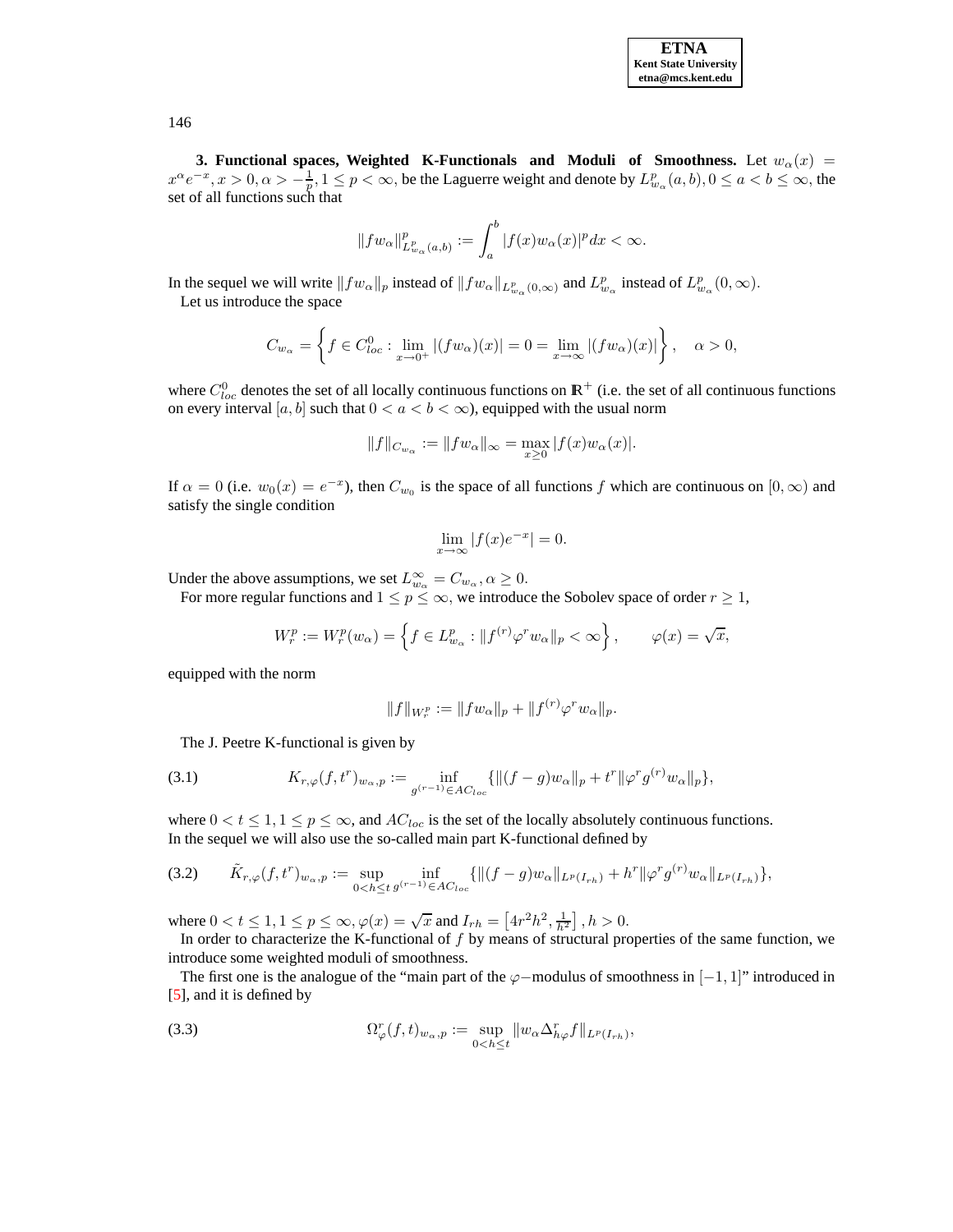

**3.** Functional spaces, Weighted K-Functionals and Moduli of Smoothness. Let  $w_\alpha(x) =$  $x^{\alpha}e^{-x}, x > 0, \alpha > -\frac{1}{p}, 1 \le p < \infty$ , be the Laguerre weight and denote by  $L_{w_{\alpha}}^p(a, b), 0 \le a < b \le \infty$ , the set of all functions such that

$$
||fw_{\alpha}||_{L^p_{w_{\alpha}}(a,b)}^p := \int_a^b |f(x)w_{\alpha}(x)|^p dx < \infty.
$$

In the sequel we will write  $||fw_\alpha||_p$  instead of  $||fw_\alpha||_{L^p_{w_\alpha}(0,\infty)}$  and  $L^p_{w_\alpha}$  instead of  $L^p_{w_\alpha}(0,\infty)$ . Let us introduce the space

$$
C_{w_{\alpha}} = \left\{ f \in C_{loc}^{0}: \lim_{x \to 0^{+}} |(fw_{\alpha})(x)| = 0 = \lim_{x \to \infty} |(fw_{\alpha})(x)| \right\}, \quad \alpha > 0,
$$

where  $C_{loc}^0$  denotes the set of all locally continuous functions on  $\mathbb{R}^+$  (i.e. the set of all continuous functions on every interval [a, b] such that  $0 < a < b < \infty$ ), equipped with the usual norm

$$
\|f\|_{C_{w_\alpha}}:=\|fw_\alpha\|_\infty=\max_{x\geq 0}|f(x)w_\alpha(x)|.
$$

If  $\alpha = 0$  (i.e.  $w_0(x) = e^{-x}$ ), then  $C_{w_0}$  is the space of all functions f which are continuous on  $[0, \infty)$  and satisfy the single condition

$$
\lim_{x \to \infty} |f(x)e^{-x}| = 0.
$$

Under the above assumptions, we set  $L^{\infty}_{w_{\alpha}} = C_{w_{\alpha}}, \alpha \geq 0$ .

For more regular functions and  $1 \le p \le \infty$ , we introduce the Sobolev space of order  $r \ge 1$ ,

$$
W_r^p := W_r^p(w_\alpha) = \left\{ f \in L^p_{w_\alpha} : \| f^{(r)} \varphi^r w_\alpha \|_p < \infty \right\}, \qquad \varphi(x) = \sqrt{x},
$$

equipped with the norm

$$
||f||_{W_r^p} := ||fw_\alpha||_p + ||f^{(r)}\varphi^r w_\alpha||_p.
$$

<span id="page-4-0"></span>The J. Peetre K-functional is given by

(3.1) 
$$
K_{r,\varphi}(f,t^r)_{w_{\alpha},p} := \inf_{g^{(r-1)} \in AC_{loc}} \{ \|(f-g)w_{\alpha}\|_p + t^r \|\varphi^r g^{(r)}w_{\alpha}\|_p \},
$$

where  $0 < t \leq 1, 1 \leq p \leq \infty$ , and  $AC_{loc}$  is the set of the locally absolutely continuous functions. In the sequel we will also use the so-called main part K-functional defined by

$$
(3.2) \qquad \tilde{K}_{r,\varphi}(f,t^r)_{w_{\alpha},p} := \sup_{0 < h \leq t} \inf_{g^{(r-1)} \in AC_{loc}} \{ \|(f-g)w_{\alpha}\|_{L^p(I_{rh})} + h^r \|\varphi^r g^{(r)} w_{\alpha}\|_{L^p(I_{rh})} \},
$$

where  $0 < t \leq 1, 1 \leq p \leq \infty, \varphi(x) = \sqrt{x}$  and  $I_{rh} = [4r^2h^2, \frac{1}{h^2}]$ ,  $h > 0$ .

In order to characterize the K-functional of  $f$  by means of structural properties of the same function, we introduce some weighted moduli of smoothness.

The first one is the analogue of the "main part of the  $\varphi$ −modulus of smoothness in  $[-1, 1]$ " introduced in [\[5\]](#page-9-17), and it is defined by

(3.3) 
$$
\Omega^r_\varphi(f,t)_{w_\alpha,p} := \sup_{0 < h \leq t} \|w_\alpha \Delta^r_{h\varphi} f\|_{L^p(I_{r_h})},
$$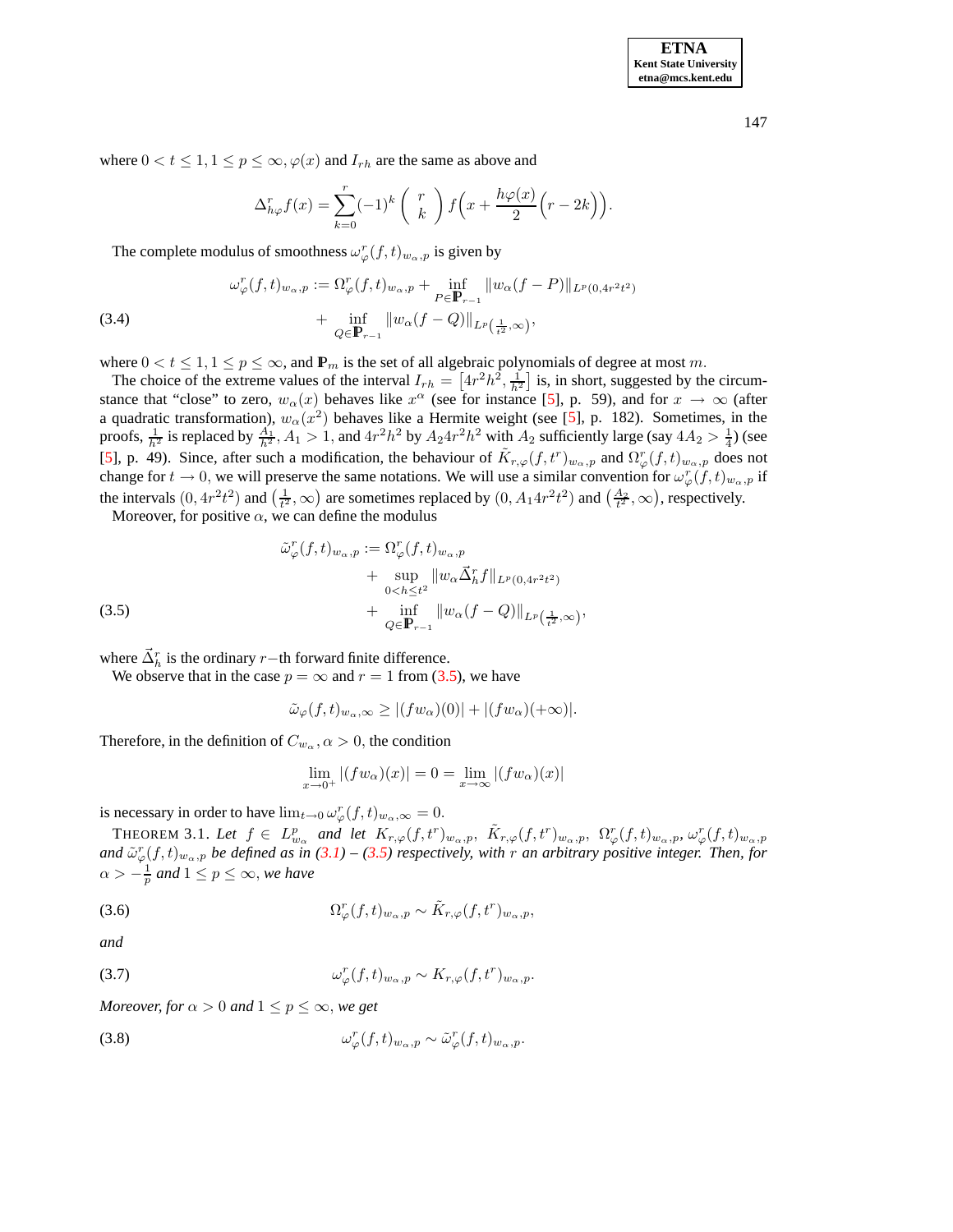**ETNA Kent State University etna@mcs.kent.edu**

147

where  $0 < t \leq 1, 1 \leq p \leq \infty, \varphi(x)$  and  $I_{rh}$  are the same as above and

$$
\Delta_{h\varphi}^r f(x) = \sum_{k=0}^r (-1)^k \binom{r}{k} f\left(x + \frac{h\varphi(x)}{2}\left(r - 2k\right)\right).
$$

The complete modulus of smoothness  $\omega_{\varphi}^r(f,t)_{w_{\alpha},p}$  is given by

(3.4)  

$$
\omega_{\varphi}^r(f,t)_{w_{\alpha},p} := \Omega_{\varphi}^r(f,t)_{w_{\alpha},p} + \inf_{P \in \mathbf{P}_{r-1}} \|w_{\alpha}(f-P)\|_{L^p(0,4r^2t^2)} + \inf_{Q \in \mathbf{P}_{r-1}} \|w_{\alpha}(f-Q)\|_{L^p(\frac{1}{t^2},\infty)},
$$

where  $0 < t \leq 1, 1 \leq p \leq \infty$ , and  $\mathbb{P}_m$  is the set of all algebraic polynomials of degree at most m.

The choice of the extreme values of the interval  $I_{rh} = \left[4r^2h^2, \frac{1}{h^2}\right]$  is, in short, suggested by the circumstance that "close" to zero,  $w_\alpha(x)$  behaves like  $x^\alpha$  (see for instance [\[5\]](#page-9-17), p. 59), and for  $x \to \infty$  (after a quadratic transformation),  $w_\alpha(x^2)$  behaves like a Hermite weight (see [\[5\]](#page-9-17), p. 182). Sometimes, in the proofs,  $\frac{1}{h^2}$  is replaced by  $\frac{A_1}{h^2}$ ,  $A_1 > 1$ , and  $4r^2h^2$  by  $A_24r^2h^2$  with  $A_2$  sufficiently large (say  $4A_2 > \frac{1}{4}$ ) (see [\[5\]](#page-9-17), p. 49). Since, after such a modification, the behaviour of  $\tilde{K}_{r,\varphi}(f,t^r)_{w_\alpha,p}$  and  $\Omega_{\varphi}^r(f,t)_{w_\alpha,p}$  does not change for  $t \to 0$ , we will preserve the same notations. We will use a similar convention for  $\omega_{\varphi}^r(f, t)_{w_{\alpha}, p}$  if the intervals  $(0, 4r^2t^2)$  and  $(\frac{1}{t^2}, \infty)$  are sometimes replaced by  $(0, A_1 4r^2t^2)$  and  $(\frac{A_2}{t^2}, \infty)$ , respectively.

<span id="page-5-0"></span>Moreover, for positive  $\alpha$ , we can define the modulus

(3.5)  
\n
$$
\tilde{\omega}_{\varphi}^r(f,t)_{w_{\alpha},p} := \Omega_{\varphi}^r(f,t)_{w_{\alpha},p} + \sup_{0 < h \leq t^2} \|w_{\alpha}\vec{\Delta}_h^r f\|_{L^p(0,4r^2t^2)} + \inf_{Q \in \mathbb{P}_{r-1}} \|w_{\alpha}(f-Q)\|_{L^p\left(\frac{1}{t^2},\infty\right)},
$$

where  $\vec{\Delta}_h^r$  is the ordinary r–th forward finite difference.

We observe that in the case  $p = \infty$  and  $r = 1$  from [\(3.5\)](#page-5-0), we have

$$
\tilde{\omega}_{\varphi}(f,t)_{w_{\alpha},\infty} \ge |(fw_{\alpha})(0)| + |(fw_{\alpha})(+\infty)|.
$$

Therefore, in the definition of  $C_{w_\alpha}$ ,  $\alpha > 0$ , the condition

$$
\lim_{x \to 0^+} |(fw_\alpha)(x)| = 0 = \lim_{x \to \infty} |(fw_\alpha)(x)|
$$

<span id="page-5-1"></span>is necessary in order to have  $\lim_{t\to 0} \omega_{\varphi}^r(f,t)_{w_\alpha,\infty} = 0.$ 

THEOREM 3.1. Let  $f \in L_{w_\alpha}^p$  and let  $K_{r,\varphi}(f,t^r)_{w_\alpha,p}$ ,  $\tilde{K}_{r,\varphi}(f,t^r)_{w_\alpha,p}$ ,  $\Omega_{\varphi}^r(f,t)_{w_\alpha,p}$ ,  $\omega_{\varphi}^r(f,t)_{w_\alpha,p}$ and  $\tilde{\omega}^r_\varphi(f,t)_{w_\alpha,p}$  be defined as in [\(3.1\)](#page-4-0) – [\(3.5\)](#page-5-0) respectively, with r an arbitrary positive integer. Then, for  $\alpha > -\frac{1}{p}$  and  $1 \leq p \leq \infty$ , we have

<span id="page-5-2"></span>(3.6) 
$$
\Omega^r_\varphi(f,t)_{w_\alpha,p} \sim \tilde{K}_{r,\varphi}(f,t^r)_{w_\alpha,p},
$$

*and*

(3.7) 
$$
\omega_{\varphi}^r(f,t)_{w_{\alpha},p} \sim K_{r,\varphi}(f,t^r)_{w_{\alpha},p}.
$$

*Moreover, for*  $\alpha > 0$  *and*  $1 \leq p \leq \infty$ *, we get* 

(3.8) 
$$
\omega_{\varphi}^r(f,t)_{w_{\alpha},p} \sim \tilde{\omega}_{\varphi}^r(f,t)_{w_{\alpha},p}.
$$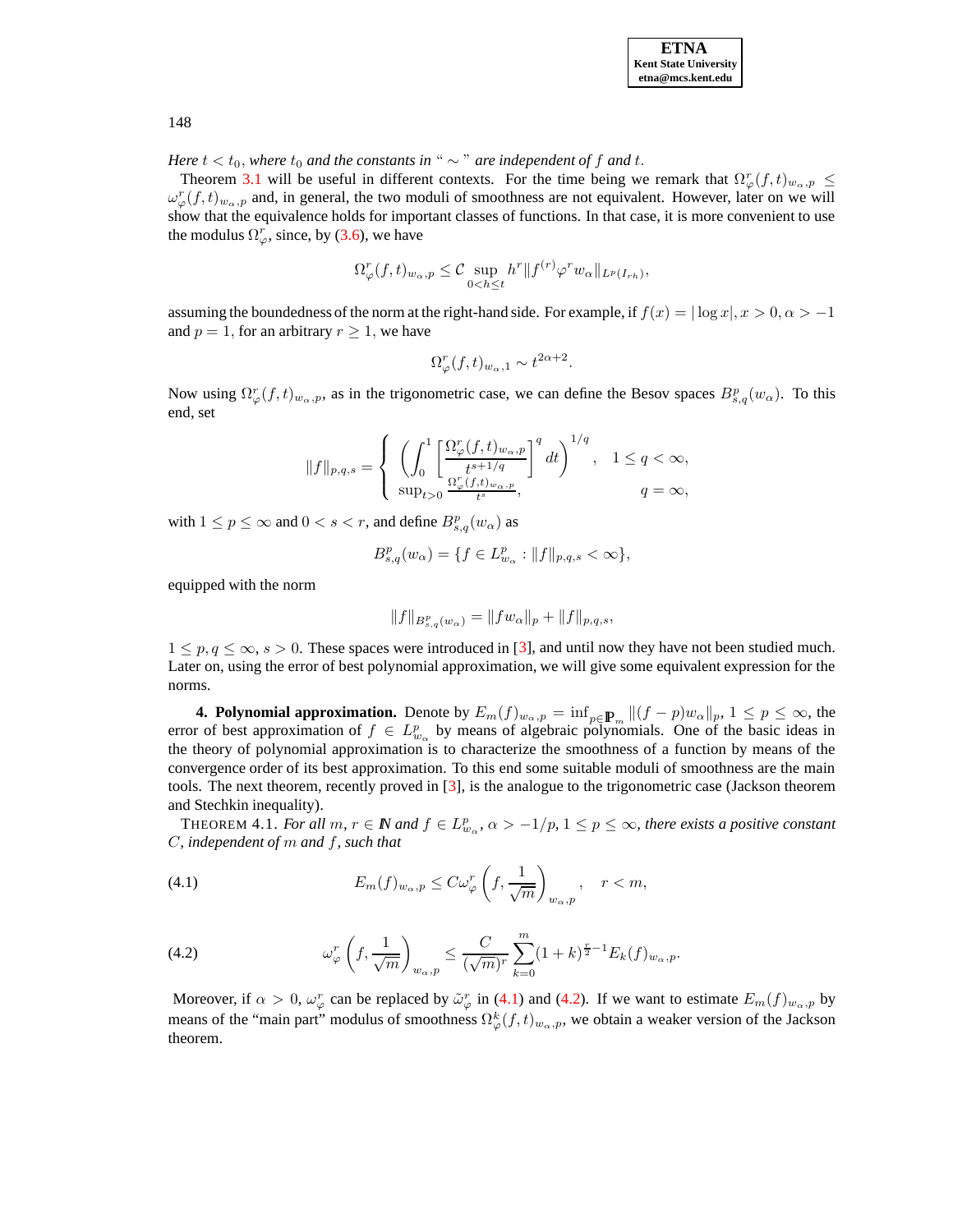

*Here*  $t < t_0$ , *where*  $t_0$  *and the constants in* "  $\sim$  " *are independent of* f *and* t.

Theorem [3.1](#page-5-1) will be useful in different contexts. For the time being we remark that  $\Omega_{\varphi}^r(f,t)_{w_{\alpha},p} \leq$  $\omega_{\varphi}^r(f,t)_{w_{\alpha},p}$  and, in general, the two moduli of smoothness are not equivalent. However, later on we will show that the equivalence holds for important classes of functions. In that case, it is more convenient to use the modulus  $\Omega_{\varphi}^r$ , since, by [\(3.6\)](#page-5-2), we have

$$
\Omega^r_\varphi(f,t)_{w_\alpha,p} \leq \mathcal{C} \sup_{0
$$

assuming the boundedness of the norm at the right-hand side. For example, if  $f(x) = |\log x|, x > 0, \alpha > -1$ and  $p = 1$ , for an arbitrary  $r \geq 1$ , we have

$$
\Omega^r_{\varphi}(f,t)_{w_{\alpha},1} \sim t^{2\alpha+2}.
$$

Now using  $\Omega_{\varphi}^r(f, t)_{w_\alpha, p}$ , as in the trigonometric case, we can define the Besov spaces  $B_{s,q}^p(w_\alpha)$ . To this end, set

$$
||f||_{p,q,s} = \begin{cases} \left( \int_0^1 \left[ \frac{\Omega_{\varphi}^r(f,t)_{w_{\alpha},p}}{t^{s+1/q}} \right]^q dt \right)^{1/q}, & 1 \le q < \infty, \\ \sup_{t>0} \frac{\Omega_{\varphi}^r(f,t)_{w_{\alpha},p}}{t^s}, & q = \infty, \end{cases}
$$

with  $1 \le p \le \infty$  and  $0 < s < r$ , and define  $B_{s,q}^p(w_\alpha)$  as

$$
B_{s,q}^p(w_\alpha) = \{ f \in L_{w_\alpha}^p : ||f||_{p,q,s} < \infty \},\
$$

equipped with the norm

$$
||f||_{B_{s,q}^p(w_\alpha)} = ||fw_\alpha||_p + ||f||_{p,q,s},
$$

 $1 \leq p, q \leq \infty, s > 0$ . These spaces were introduced in [\[3\]](#page-8-1), and until now they have not been studied much. Later on, using the error of best polynomial approximation, we will give some equivalent expression for the norms.

**4. Polynomial approximation.** Denote by  $E_m(f)_{w_\alpha, p} = \inf_{p \in \mathbb{P}_m} ||(f - p)w_\alpha||_p, 1 \le p \le \infty$ , the error of best approximation of  $f \in L^p_{w_\alpha}$  by means of algebraic polynomials. One of the basic ideas in the theory of polynomial approximation is to characterize the smoothness of a function by means of the convergence order of its best approximation. To this end some suitable moduli of smoothness are the main tools. The next theorem, recently proved in [\[3\]](#page-8-1), is the analogue to the trigonometric case (Jackson theorem and Stechkin inequality).

<span id="page-6-2"></span>THEOREM 4.1. *For all*  $m, r \in \mathbb{N}$  and  $f \in L^p_{w_\alpha}, \alpha > -1/p, 1 \leq p \leq \infty$ , there exists a positive constant C*, independent of* m *and* f*, such that*

<span id="page-6-0"></span>(4.1) 
$$
E_m(f)_{w_{\alpha},p} \leq C \omega_{\varphi}^r \left(f, \frac{1}{\sqrt{m}}\right)_{w_{\alpha},p}, \quad r < m,
$$

<span id="page-6-1"></span>(4.2) 
$$
\omega_{\varphi}^r\left(f,\frac{1}{\sqrt{m}}\right)_{w_{\alpha},p} \leq \frac{C}{(\sqrt{m})^r} \sum_{k=0}^m (1+k)^{\frac{r}{2}-1} E_k(f)_{w_{\alpha},p}.
$$

Moreover, if  $\alpha > 0$ ,  $\omega_{\varphi}^r$  can be replaced by  $\tilde{\omega}_{\varphi}^r$  in [\(4.1\)](#page-6-0) and [\(4.2\)](#page-6-1). If we want to estimate  $E_m(f)_{w_{\alpha},p}$  by means of the "main part" modulus of smoothness  $\Omega^k_{\varphi}(f,t)_{w_{\alpha},p}$ , we obtain a weaker version of the Jackson theorem.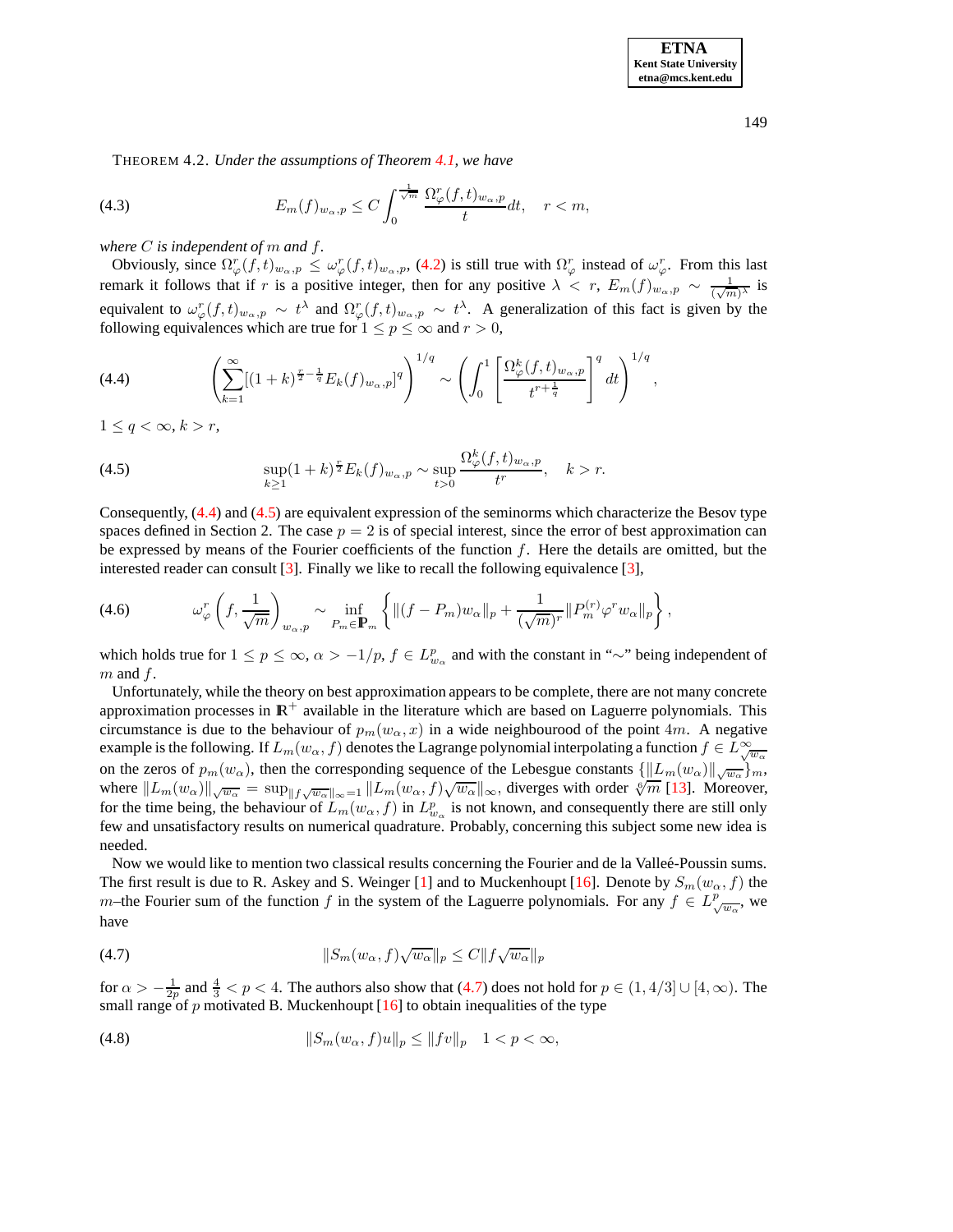**ETNA Kent State University etna@mcs.kent.edu**

THEOREM 4.2. *Under the assumptions of Theorem [4.1,](#page-6-2) we have*

(4.3) 
$$
E_m(f)_{w_\alpha,p} \leq C \int_0^{\frac{1}{\sqrt{m}}} \frac{\Omega_\varphi^r(f,t)_{w_\alpha,p}}{t} dt, \quad r < m,
$$

*where* C *is independent of* m *and* f*.*

Obviously, since  $\Omega^r_\varphi(f,t)_{w_\alpha,p} \leq \omega^r_\varphi(f,t)_{w_\alpha,p}$ , [\(4.2\)](#page-6-1) is still true with  $\Omega^r_\varphi$  instead of  $\omega^r_\varphi$ . From this last remark it follows that if r is a positive integer, then for any positive  $\lambda < r$ ,  $E_m(f)_{w_\alpha, p} \sim \frac{1}{(\sqrt{m})^\lambda}$  is equivalent to  $\omega_{\varphi}^r(f,t)_{w_{\alpha},p} \sim t^{\lambda}$  and  $\Omega_{\varphi}^r(f,t)_{w_{\alpha},p} \sim t^{\lambda}$ . A generalization of this fact is given by the following equivalences which are true for  $1 \le p \le \infty$  and  $r > 0$ ,

<span id="page-7-0"></span>(4.4) 
$$
\left(\sum_{k=1}^{\infty}[(1+k)^{\frac{r}{2}-\frac{1}{q}}E_k(f)_{w_{\alpha},p}]^q\right)^{1/q} \sim \left(\int_0^1 \left[\frac{\Omega_{\varphi}^k(f,t)_{w_{\alpha},p}}{t^{r+\frac{1}{q}}}\right]^q dt\right)^{1/q},
$$

 $1 \leq q < \infty, k > r$ ,

<span id="page-7-1"></span>(4.5) 
$$
\sup_{k\geq 1} (1+k)^{\frac{r}{2}} E_k(f)_{w_{\alpha},p} \sim \sup_{t>0} \frac{\Omega_{\varphi}^k(f,t)_{w_{\alpha},p}}{t^r}, \quad k>r.
$$

Consequently, [\(4.4\)](#page-7-0) and [\(4.5\)](#page-7-1) are equivalent expression of the seminorms which characterize the Besov type spaces defined in Section 2. The case  $p = 2$  is of special interest, since the error of best approximation can be expressed by means of the Fourier coefficients of the function  $f$ . Here the details are omitted, but the interested reader can consult [\[3\]](#page-8-1). Finally we like to recall the following equivalence [\[3\]](#page-8-1),

$$
(4.6) \t\t \t\t \omega_{\varphi}^r \left(f, \frac{1}{\sqrt{m}}\right)_{w_{\alpha}, p} \sim \inf_{P_m \in \mathbf{P}_m} \left\{ \|(f - P_m)w_{\alpha}\|_p + \frac{1}{(\sqrt{m})^r} \|P_m^{(r)} \varphi^r w_{\alpha}\|_p \right\},
$$

which holds true for  $1 \le p \le \infty$ ,  $\alpha > -1/p$ ,  $f \in L^p_{w_\alpha}$  and with the constant in "∼" being independent of  $m$  and  $f$ .

Unfortunately, while the theory on best approximation appears to be complete, there are not many concrete approximation processes in  $\mathbb{R}^+$  available in the literature which are based on Laguerre polynomials. This circumstance is due to the behaviour of  $p_m(w_\alpha, x)$  in a wide neighbourood of the point 4m. A negative example is the following. If  $L_m(w_\alpha, f)$  denotes the Lagrange polynomial interpolating a function  $f \in L_{\sqrt{w_\alpha}}^{\infty}$ on the zeros of  $p_m(w_\alpha)$ , then the corresponding sequence of the Lebesgue constants  $\{\Vert L_m(w_\alpha)\Vert_{\sqrt{w_\alpha}}\}_m$ , where  $||L_m(w_\alpha)||_{\sqrt{w_\alpha}} = \sup_{||f\sqrt{w_\alpha}||_\infty=1} ||L_m(w_\alpha, f)\sqrt{w_\alpha}||_\infty$ , diverges with order  $\sqrt[6]{m}$  [\[13\]](#page-9-7). Moreover, for the time being, the behaviour of  $L_m(w_\alpha, f)$  in  $L^p_{w_\alpha}$  is not known, and consequently there are still only few and unsatisfactory results on numerical quadrature. Probably, concerning this subject some new idea is needed.

Now we would like to mention two classical results concerning the Fourier and de la Valleé-Poussin sums. The first result is due to R. Askey and S. Weinger [\[1\]](#page-8-2) and to Muckenhoupt [\[16\]](#page-9-8). Denote by  $S_m(w_\alpha, f)$  the m–the Fourier sum of the function f in the system of the Laguerre polynomials. For any  $f \in L^p_{\sqrt{w_\alpha}}$ , we have

<span id="page-7-2"></span>(4.7) 
$$
||S_m(w_\alpha, f)\sqrt{w_\alpha}||_p \leq C||f\sqrt{w_\alpha}||_p
$$

for  $\alpha > -\frac{1}{2p}$  and  $\frac{4}{3} < p < 4$ . The authors also show that [\(4.7\)](#page-7-2) does not hold for  $p \in (1, 4/3] \cup [4, \infty)$ . The small range of p motivated B. Muckenhoupt  $[16]$  to obtain inequalities of the type

(4.8) 
$$
||S_m(w_\alpha, f)u||_p \le ||fv||_p \quad 1 < p < \infty,
$$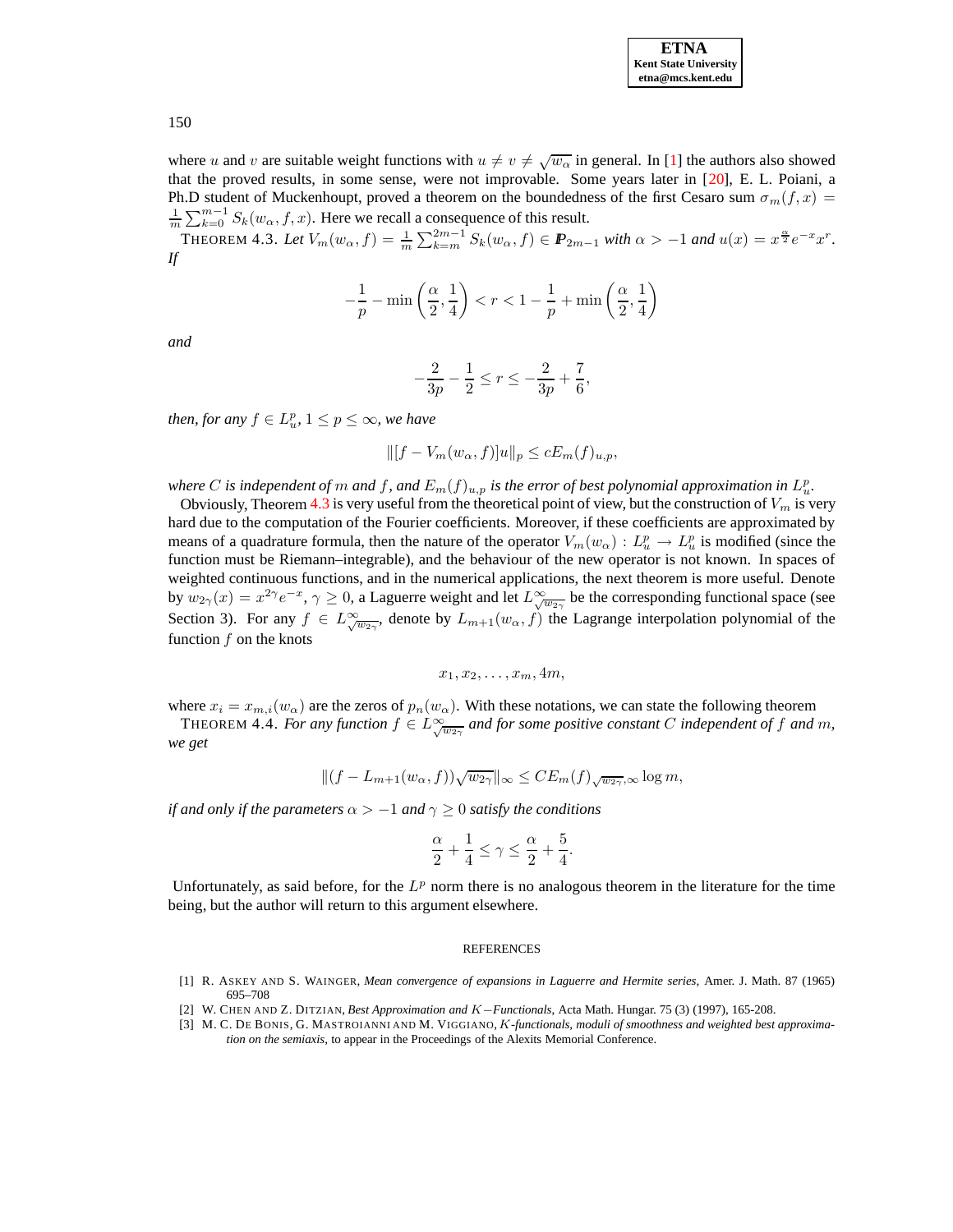| <b>ETNA</b>                  |
|------------------------------|
| <b>Kent State University</b> |
| etna@mcs.kent.edu            |

where u and v are suitable weight functions with  $u \neq v \neq \sqrt{w_{\alpha}}$  in general. In [\[1\]](#page-8-2) the authors also showed that the proved results, in some sense, were not improvable. Some years later in [\[20\]](#page-9-18), E. L. Poiani, a Ph.D student of Muckenhoupt, proved a theorem on the boundedness of the first Cesaro sum  $\sigma_m(f, x)$  =  $\frac{1}{m}\sum_{k=0}^{m-1} S_k(w_\alpha, f, x)$ . Here we recall a consequence of this result.

THEOREM 4.3. Let  $V_m(w_\alpha, f) = \frac{1}{m} \sum_{k=m}^{2m-1} S_k(w_\alpha, f) \in \mathbb{P}_{2m-1}$  with  $\alpha > -1$  and  $u(x) = x^{\frac{\alpha}{2}} e^{-x} x^r$ . *If*

<span id="page-8-3"></span>
$$
-\frac{1}{p} - \min\left(\frac{\alpha}{2}, \frac{1}{4}\right) < r < 1 - \frac{1}{p} + \min\left(\frac{\alpha}{2}, \frac{1}{4}\right)
$$

*and*

$$
-\frac{2}{3p} - \frac{1}{2} \le r \le -\frac{2}{3p} + \frac{7}{6},
$$

*then, for any*  $f \in L^p_w$ ,  $1 \leq p \leq \infty$ *, we have* 

$$
\| [f - V_m(w_\alpha, f)]u\|_p \le cE_m(f)_{u,p},
$$

where  $C$  is independent of  $m$  and  $f$ , and  $E_m(f)_{u,p}$  is the error of best polynomial approximation in  $L^p_u$ .

Obviously, Theorem [4.3](#page-8-3) is very useful from the theoretical point of view, but the construction of  $V_m$  is very hard due to the computation of the Fourier coefficients. Moreover, if these coefficients are approximated by means of a quadrature formula, then the nature of the operator  $V_m(w_\alpha) : L_u^p \to L_u^p$  is modified (since the function must be Riemann–integrable), and the behaviour of the new operator is not known. In spaces of weighted continuous functions, and in the numerical applications, the next theorem is more useful. Denote by  $w_{2\gamma}(x) = x^{2\gamma}e^{-x}$ ,  $\gamma \ge 0$ , a Laguerre weight and let  $L^{\infty}_{\sqrt{w_{2\gamma}}}$  be the corresponding functional space (see Section 3). For any  $f \in L^{\infty}_{\sqrt{w_{2\gamma}}}$ , denote by  $L_{m+1}(w_{\alpha}, f)$  the Lagrange interpolation polynomial of the function  $f$  on the knots

$$
x_1, x_2, \ldots, x_m, 4m,
$$

where  $x_i = x_{m,i}(w_\alpha)$  are the zeros of  $p_n(w_\alpha)$ . With these notations, we can state the following theorem THEOREM 4.4. For any function  $f \in L^{\infty}_{\sqrt{w_{2\gamma}}}$  and for some positive constant C independent of f and m, *we get*

$$
\|(f-L_{m+1}(w_\alpha,f))\sqrt{w_{2\gamma}}\|_\infty\leq CE_m(f)_{\sqrt{w_{2\gamma}},\infty}\log m,
$$

*if* and only *if* the parameters  $\alpha > -1$  and  $\gamma \geq 0$  satisfy the conditions

$$
\frac{\alpha}{2}+\frac{1}{4}\leq \gamma\leq \frac{\alpha}{2}+\frac{5}{4}.
$$

Unfortunately, as said before, for the  $L^p$  norm there is no analogous theorem in the literature for the time being, but the author will return to this argument elsewhere.

## **REFERENCES**

- <span id="page-8-2"></span><span id="page-8-0"></span>[1] R. ASKEY AND S. WAINGER, *Mean convergence of expansions in Laguerre and Hermite series*, Amer. J. Math. 87 (1965) 695–708
- [2] W. CHEN AND Z. DITZIAN, *Best Approximation and* K−*Functionals*, Acta Math. Hungar. 75 (3) (1997), 165-208.
- <span id="page-8-1"></span>[3] M. C. DE BONIS, G. MASTROIANNI AND M. VIGGIANO, K*-functionals, moduli of smoothness and weighted best approximation on the semiaxis*, to appear in the Proceedings of the Alexits Memorial Conference.